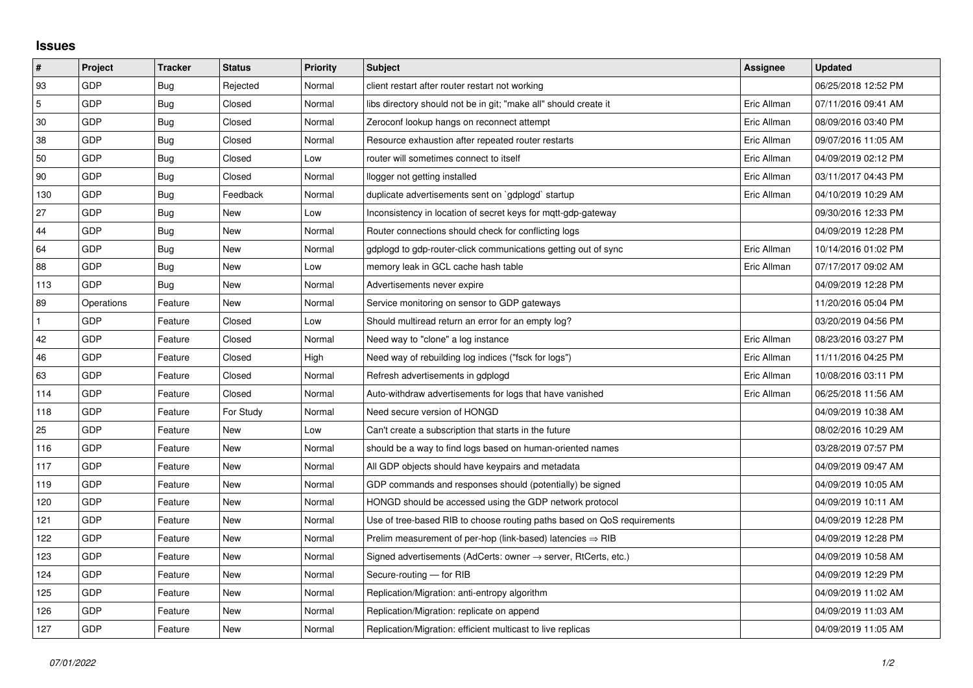## **Issues**

| $\pmb{\#}$ | Project    | <b>Tracker</b> | <b>Status</b> | <b>Priority</b> | <b>Subject</b>                                                             | Assignee    | <b>Updated</b>      |
|------------|------------|----------------|---------------|-----------------|----------------------------------------------------------------------------|-------------|---------------------|
| 93         | GDP        | Bug            | Rejected      | Normal          | client restart after router restart not working                            |             | 06/25/2018 12:52 PM |
| 5          | GDP        | Bug            | Closed        | Normal          | libs directory should not be in git; "make all" should create it           | Eric Allman | 07/11/2016 09:41 AM |
| 30         | GDP        | <b>Bug</b>     | Closed        | Normal          | Zeroconf lookup hangs on reconnect attempt                                 | Eric Allman | 08/09/2016 03:40 PM |
| 38         | GDP        | Bug            | Closed        | Normal          | Resource exhaustion after repeated router restarts                         | Eric Allman | 09/07/2016 11:05 AM |
| 50         | GDP        | Bug            | Closed        | Low             | router will sometimes connect to itself                                    | Eric Allman | 04/09/2019 02:12 PM |
| 90         | GDP        | <b>Bug</b>     | Closed        | Normal          | llogger not getting installed                                              | Eric Allman | 03/11/2017 04:43 PM |
| 130        | GDP        | Bug            | Feedback      | Normal          | duplicate advertisements sent on `gdplogd` startup                         | Eric Allman | 04/10/2019 10:29 AM |
| 27         | GDP        | <b>Bug</b>     | New           | Low             | Inconsistency in location of secret keys for mgtt-gdp-gateway              |             | 09/30/2016 12:33 PM |
| 44         | GDP        | Bug            | New           | Normal          | Router connections should check for conflicting logs                       |             | 04/09/2019 12:28 PM |
| 64         | GDP        | <b>Bug</b>     | New           | Normal          | gdplogd to gdp-router-click communications getting out of sync             | Eric Allman | 10/14/2016 01:02 PM |
| 88         | GDP        | Bug            | New           | Low             | memory leak in GCL cache hash table                                        | Eric Allman | 07/17/2017 09:02 AM |
| 113        | GDP        | Bug            | New           | Normal          | Advertisements never expire                                                |             | 04/09/2019 12:28 PM |
| 89         | Operations | Feature        | New           | Normal          | Service monitoring on sensor to GDP gateways                               |             | 11/20/2016 05:04 PM |
|            | GDP        | Feature        | Closed        | Low             | Should multiread return an error for an empty log?                         |             | 03/20/2019 04:56 PM |
| 42         | GDP        | Feature        | Closed        | Normal          | Need way to "clone" a log instance                                         | Eric Allman | 08/23/2016 03:27 PM |
| 46         | GDP        | Feature        | Closed        | High            | Need way of rebuilding log indices ("fsck for logs")                       | Eric Allman | 11/11/2016 04:25 PM |
| 63         | GDP        | Feature        | Closed        | Normal          | Refresh advertisements in gdplogd                                          | Eric Allman | 10/08/2016 03:11 PM |
| 114        | GDP        | Feature        | Closed        | Normal          | Auto-withdraw advertisements for logs that have vanished                   | Eric Allman | 06/25/2018 11:56 AM |
| 118        | GDP        | Feature        | For Study     | Normal          | Need secure version of HONGD                                               |             | 04/09/2019 10:38 AM |
| 25         | GDP        | Feature        | New           | Low             | Can't create a subscription that starts in the future                      |             | 08/02/2016 10:29 AM |
| 116        | GDP        | Feature        | <b>New</b>    | Normal          | should be a way to find logs based on human-oriented names                 |             | 03/28/2019 07:57 PM |
| 117        | GDP        | Feature        | New           | Normal          | All GDP objects should have keypairs and metadata                          |             | 04/09/2019 09:47 AM |
| 119        | GDP        | Feature        | New           | Normal          | GDP commands and responses should (potentially) be signed                  |             | 04/09/2019 10:05 AM |
| 120        | GDP        | Feature        | New           | Normal          | HONGD should be accessed using the GDP network protocol                    |             | 04/09/2019 10:11 AM |
| 121        | GDP        | Feature        | New           | Normal          | Use of tree-based RIB to choose routing paths based on QoS requirements    |             | 04/09/2019 12:28 PM |
| 122        | GDP        | Feature        | New           | Normal          | Prelim measurement of per-hop (link-based) latencies $\Rightarrow$ RIB     |             | 04/09/2019 12:28 PM |
| 123        | GDP        | Feature        | New           | Normal          | Signed advertisements (AdCerts: owner $\rightarrow$ server, RtCerts, etc.) |             | 04/09/2019 10:58 AM |
| 124        | GDP        | Feature        | New           | Normal          | Secure-routing - for RIB                                                   |             | 04/09/2019 12:29 PM |
| 125        | GDP        | Feature        | New           | Normal          | Replication/Migration: anti-entropy algorithm                              |             | 04/09/2019 11:02 AM |
| 126        | GDP        | Feature        | New           | Normal          | Replication/Migration: replicate on append                                 |             | 04/09/2019 11:03 AM |
| 127        | GDP        | Feature        | New           | Normal          | Replication/Migration: efficient multicast to live replicas                |             | 04/09/2019 11:05 AM |